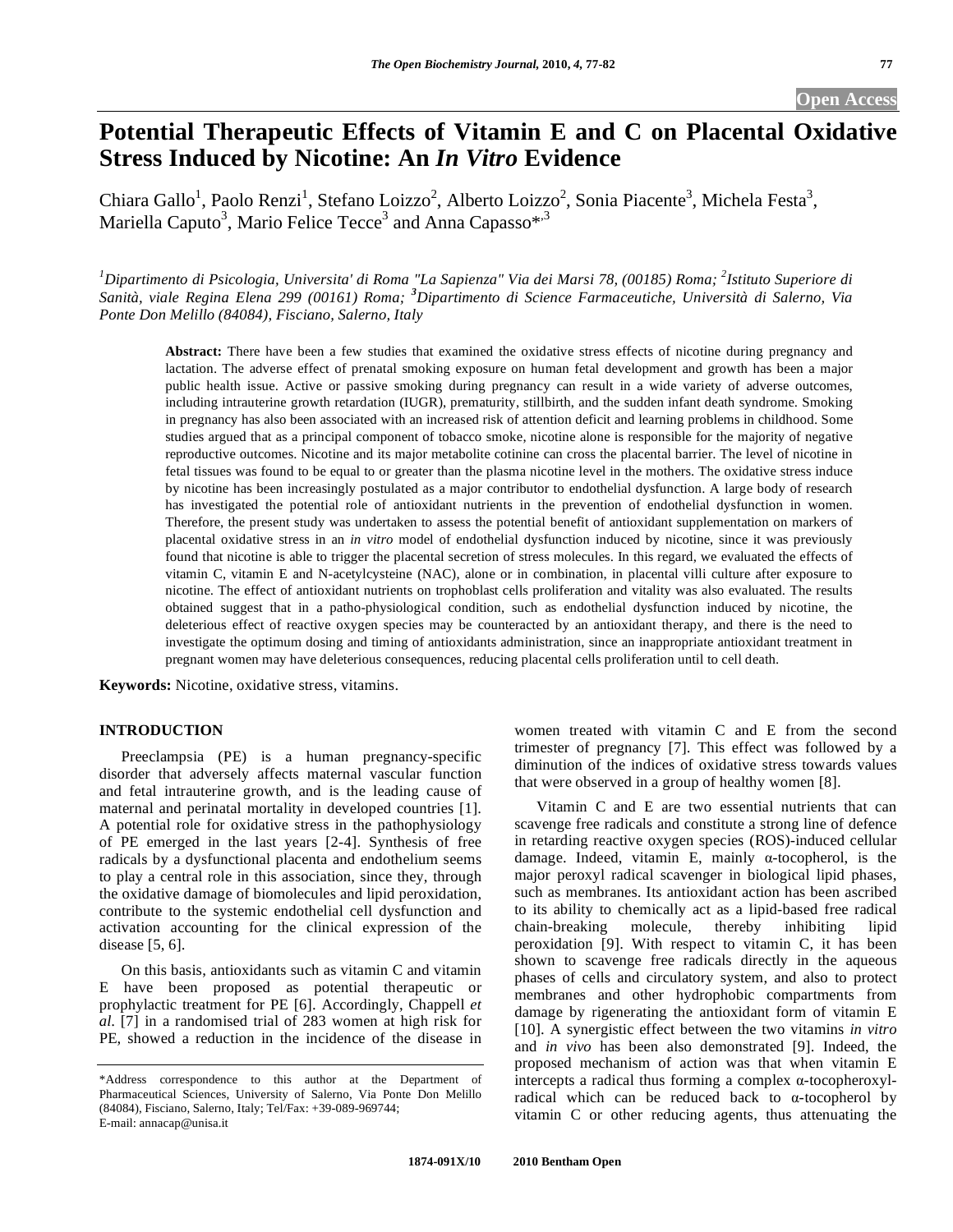# **Potential Therapeutic Effects of Vitamin E and C on Placental Oxidative Stress Induced by Nicotine: An** *In Vitro* **Evidence**

Chiara Gallo<sup>1</sup>, Paolo Renzi<sup>1</sup>, Stefano Loizzo<sup>2</sup>, Alberto Loizzo<sup>2</sup>, Sonia Piacente<sup>3</sup>, Michela Festa<sup>3</sup>, Mariella Caputo<sup>3</sup>, Mario Felice Tecce<sup>3</sup> and Anna Capasso<sup>\*,3</sup>

<sup>1</sup>Dipartimento di Psicologia, Universita' di Roma "La Sapienza" Via dei Marsi 78, (00185) Roma; <sup>2</sup>Istituto Superiore di *Sanità, viale Regina Elena 299 (00161) Roma; <sup>3</sup> Dipartimento di Science Farmaceutiche, Università di Salerno, Via Ponte Don Melillo (84084), Fisciano, Salerno, Italy* 

**Abstract:** There have been a few studies that examined the oxidative stress effects of nicotine during pregnancy and lactation. The adverse effect of prenatal smoking exposure on human fetal development and growth has been a major public health issue. Active or passive smoking during pregnancy can result in a wide variety of adverse outcomes, including intrauterine growth retardation (IUGR), prematurity, stillbirth, and the sudden infant death syndrome. Smoking in pregnancy has also been associated with an increased risk of attention deficit and learning problems in childhood. Some studies argued that as a principal component of tobacco smoke, nicotine alone is responsible for the majority of negative reproductive outcomes. Nicotine and its major metabolite cotinine can cross the placental barrier. The level of nicotine in fetal tissues was found to be equal to or greater than the plasma nicotine level in the mothers. The oxidative stress induce by nicotine has been increasingly postulated as a major contributor to endothelial dysfunction. A large body of research has investigated the potential role of antioxidant nutrients in the prevention of endothelial dysfunction in women. Therefore, the present study was undertaken to assess the potential benefit of antioxidant supplementation on markers of placental oxidative stress in an *in vitro* model of endothelial dysfunction induced by nicotine, since it was previously found that nicotine is able to trigger the placental secretion of stress molecules. In this regard, we evaluated the effects of vitamin C, vitamin E and N-acetylcysteine (NAC), alone or in combination, in placental villi culture after exposure to nicotine. The effect of antioxidant nutrients on trophoblast cells proliferation and vitality was also evaluated. The results obtained suggest that in a patho-physiological condition, such as endothelial dysfunction induced by nicotine, the deleterious effect of reactive oxygen species may be counteracted by an antioxidant therapy, and there is the need to investigate the optimum dosing and timing of antioxidants administration, since an inappropriate antioxidant treatment in pregnant women may have deleterious consequences, reducing placental cells proliferation until to cell death.

**Keywords:** Nicotine, oxidative stress, vitamins.

# **INTRODUCTION**

 Preeclampsia (PE) is a human pregnancy-specific disorder that adversely affects maternal vascular function and fetal intrauterine growth, and is the leading cause of maternal and perinatal mortality in developed countries [1]. A potential role for oxidative stress in the pathophysiology of PE emerged in the last years [2-4]. Synthesis of free radicals by a dysfunctional placenta and endothelium seems to play a central role in this association, since they, through the oxidative damage of biomolecules and lipid peroxidation, contribute to the systemic endothelial cell dysfunction and activation accounting for the clinical expression of the disease [5, 6].

 On this basis, antioxidants such as vitamin C and vitamin E have been proposed as potential therapeutic or prophylactic treatment for PE [6]. Accordingly, Chappell *et al*. [7] in a randomised trial of 283 women at high risk for PE, showed a reduction in the incidence of the disease in

women treated with vitamin C and E from the second trimester of pregnancy [7]. This effect was followed by a diminution of the indices of oxidative stress towards values that were observed in a group of healthy women [8].

 Vitamin C and E are two essential nutrients that can scavenge free radicals and constitute a strong line of defence in retarding reactive oxygen species (ROS)-induced cellular damage. Indeed, vitamin E, mainly  $\alpha$ -tocopherol, is the major peroxyl radical scavenger in biological lipid phases, such as membranes. Its antioxidant action has been ascribed to its ability to chemically act as a lipid-based free radical chain-breaking molecule, thereby inhibiting lipid peroxidation [9]. With respect to vitamin C, it has been shown to scavenge free radicals directly in the aqueous phases of cells and circulatory system, and also to protect membranes and other hydrophobic compartments from damage by rigenerating the antioxidant form of vitamin E [10]. A synergistic effect between the two vitamins *in vitro*  and *in vivo* has been also demonstrated [9]. Indeed, the proposed mechanism of action was that when vitamin E intercepts a radical thus forming a complex  $\alpha$ -tocopheroxylradical which can be reduced back to  $\alpha$ -tocopherol by vitamin C or other reducing agents, thus attenuating the

<sup>\*</sup>Address correspondence to this author at the Department of Pharmaceutical Sciences, University of Salerno, Via Ponte Don Melillo (84084), Fisciano, Salerno, Italy; Tel/Fax: +39-089-969744; E-mail: annacap@unisa.it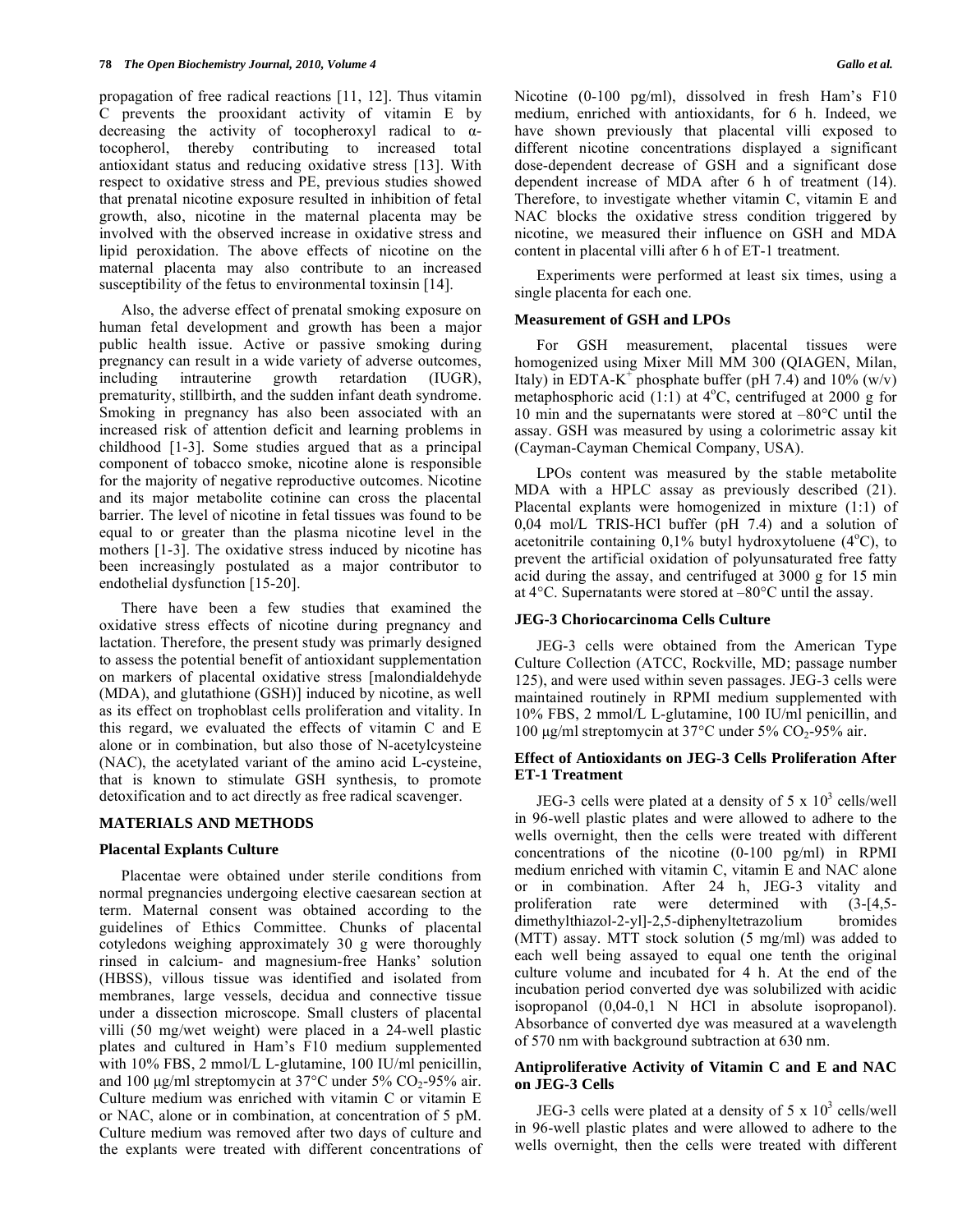propagation of free radical reactions [11, 12]. Thus vitamin C prevents the prooxidant activity of vitamin E by decreasing the activity of tocopheroxyl radical to  $\alpha$ tocopherol, thereby contributing to increased total antioxidant status and reducing oxidative stress [13]. With respect to oxidative stress and PE, previous studies showed that prenatal nicotine exposure resulted in inhibition of fetal growth, also, nicotine in the maternal placenta may be involved with the observed increase in oxidative stress and lipid peroxidation. The above effects of nicotine on the maternal placenta may also contribute to an increased susceptibility of the fetus to environmental toxinsin [14].

 Also, the adverse effect of prenatal smoking exposure on human fetal development and growth has been a major public health issue. Active or passive smoking during pregnancy can result in a wide variety of adverse outcomes, including intrauterine growth retardation (IUGR), prematurity, stillbirth, and the sudden infant death syndrome. Smoking in pregnancy has also been associated with an increased risk of attention deficit and learning problems in childhood [1-3]. Some studies argued that as a principal component of tobacco smoke, nicotine alone is responsible for the majority of negative reproductive outcomes. Nicotine and its major metabolite cotinine can cross the placental barrier. The level of nicotine in fetal tissues was found to be equal to or greater than the plasma nicotine level in the mothers [1-3]. The oxidative stress induced by nicotine has been increasingly postulated as a major contributor to endothelial dysfunction [15-20].

 There have been a few studies that examined the oxidative stress effects of nicotine during pregnancy and lactation. Therefore, the present study was primarly designed to assess the potential benefit of antioxidant supplementation on markers of placental oxidative stress [malondialdehyde (MDA), and glutathione (GSH)] induced by nicotine, as well as its effect on trophoblast cells proliferation and vitality. In this regard, we evaluated the effects of vitamin C and E alone or in combination, but also those of N-acetylcysteine (NAC), the acetylated variant of the amino acid L-cysteine, that is known to stimulate GSH synthesis, to promote detoxification and to act directly as free radical scavenger.

# **MATERIALS AND METHODS**

## **Placental Explants Culture**

 Placentae were obtained under sterile conditions from normal pregnancies undergoing elective caesarean section at term. Maternal consent was obtained according to the guidelines of Ethics Committee. Chunks of placental cotyledons weighing approximately 30 g were thoroughly rinsed in calcium- and magnesium-free Hanks' solution (HBSS), villous tissue was identified and isolated from membranes, large vessels, decidua and connective tissue under a dissection microscope. Small clusters of placental villi (50 mg/wet weight) were placed in a 24-well plastic plates and cultured in Ham's F10 medium supplemented with 10% FBS, 2 mmol/L L-glutamine, 100 IU/ml penicillin, and 100 μg/ml streptomycin at 37°C under 5%  $CO<sub>2</sub>$ -95% air. Culture medium was enriched with vitamin C or vitamin E or NAC, alone or in combination, at concentration of 5 pM. Culture medium was removed after two days of culture and the explants were treated with different concentrations of Nicotine (0-100 pg/ml), dissolved in fresh Ham's F10 medium, enriched with antioxidants, for 6 h. Indeed, we have shown previously that placental villi exposed to different nicotine concentrations displayed a significant dose-dependent decrease of GSH and a significant dose dependent increase of MDA after 6 h of treatment (14). Therefore, to investigate whether vitamin C, vitamin E and NAC blocks the oxidative stress condition triggered by nicotine, we measured their influence on GSH and MDA content in placental villi after 6 h of ET-1 treatment.

 Experiments were performed at least six times, using a single placenta for each one.

## **Measurement of GSH and LPOs**

 For GSH measurement, placental tissues were homogenized using Mixer Mill MM 300 (QIAGEN, Milan, Italy) in EDTA-K<sup>+</sup> phosphate buffer (pH 7.4) and 10% (w/v) metaphosphoric acid (1:1) at  $4^{\circ}$ C, centrifuged at 2000 g for 10 min and the supernatants were stored at –80°C until the assay. GSH was measured by using a colorimetric assay kit (Cayman-Cayman Chemical Company, USA).

 LPOs content was measured by the stable metabolite MDA with a HPLC assay as previously described (21). Placental explants were homogenized in mixture (1:1) of 0,04 mol/L TRIS-HCl buffer (pH 7.4) and a solution of acetonitrile containing  $0,1\%$  butyl hydroxytoluene (4 $\rm ^{o}C$ ), to prevent the artificial oxidation of polyunsaturated free fatty acid during the assay, and centrifuged at 3000 g for 15 min at 4°C. Supernatants were stored at –80°C until the assay.

# **JEG-3 Choriocarcinoma Cells Culture**

 JEG-3 cells were obtained from the American Type Culture Collection (ATCC, Rockville, MD; passage number 125), and were used within seven passages. JEG-3 cells were maintained routinely in RPMI medium supplemented with 10% FBS, 2 mmol/L L-glutamine, 100 IU/ml penicillin, and 100 μg/ml streptomycin at 37 $\degree$ C under 5% CO<sub>2</sub>-95% air.

# **Effect of Antioxidants on JEG-3 Cells Proliferation After ET-1 Treatment**

JEG-3 cells were plated at a density of  $5 \times 10^3$  cells/well in 96-well plastic plates and were allowed to adhere to the wells overnight, then the cells were treated with different concentrations of the nicotine (0-100 pg/ml) in RPMI medium enriched with vitamin C, vitamin E and NAC alone or in combination. After 24 h, JEG-3 vitality and proliferation rate were determined with (3-[4,5 dimethylthiazol-2-yl]-2,5-diphenyltetrazolium bromides (MTT) assay. MTT stock solution (5 mg/ml) was added to each well being assayed to equal one tenth the original culture volume and incubated for 4 h. At the end of the incubation period converted dye was solubilized with acidic isopropanol (0,04-0,1 N HCl in absolute isopropanol). Absorbance of converted dye was measured at a wavelength of 570 nm with background subtraction at 630 nm.

# **Antiproliferative Activity of Vitamin C and E and NAC on JEG-3 Cells**

JEG-3 cells were plated at a density of  $5 \times 10^3$  cells/well in 96-well plastic plates and were allowed to adhere to the wells overnight, then the cells were treated with different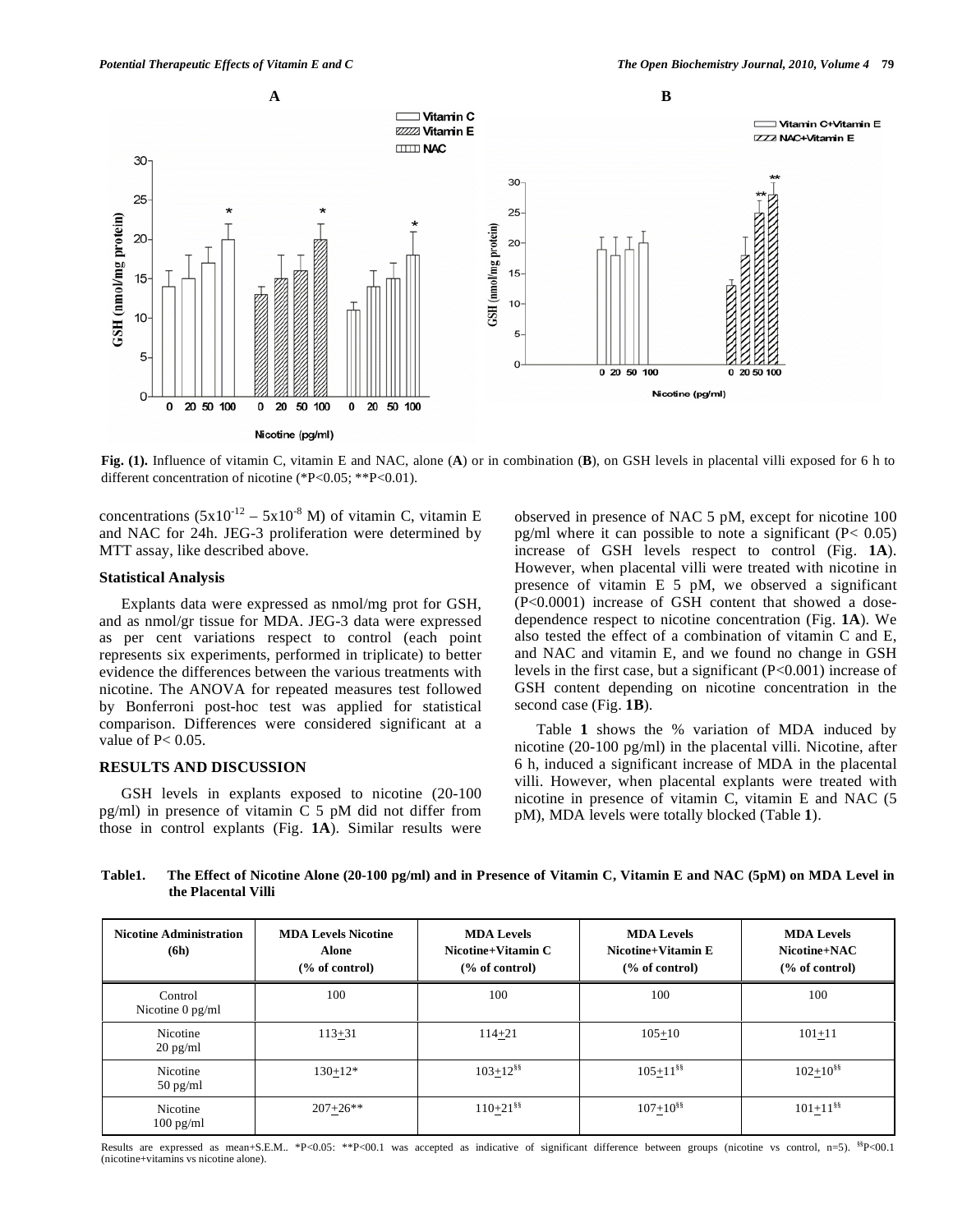

**Fig. (1).** Influence of vitamin C, vitamin E and NAC, alone (**A**) or in combination (**B**), on GSH levels in placental villi exposed for 6 h to different concentration of nicotine (\*P<0.05; \*\*P<0.01).

concentrations  $(5x10^{-12} - 5x10^{-8} M)$  of vitamin C, vitamin E and NAC for 24h. JEG-3 proliferation were determined by MTT assay, like described above.

#### **Statistical Analysis**

 Explants data were expressed as nmol/mg prot for GSH, and as nmol/gr tissue for MDA. JEG-3 data were expressed as per cent variations respect to control (each point represents six experiments, performed in triplicate) to better evidence the differences between the various treatments with nicotine. The ANOVA for repeated measures test followed by Bonferroni post-hoc test was applied for statistical comparison. Differences were considered significant at a value of  $P < 0.05$ .

## **RESULTS AND DISCUSSION**

 GSH levels in explants exposed to nicotine (20-100 pg/ml) in presence of vitamin C 5 pM did not differ from those in control explants (Fig. **1A**). Similar results were observed in presence of NAC 5 pM, except for nicotine 100  $p\text{g/ml}$  where it can possible to note a significant (P< 0.05) increase of GSH levels respect to control (Fig. **1A**). However, when placental villi were treated with nicotine in presence of vitamin E 5 pM, we observed a significant (P<0.0001) increase of GSH content that showed a dosedependence respect to nicotine concentration (Fig. **1A**). We also tested the effect of a combination of vitamin C and E, and NAC and vitamin E, and we found no change in GSH levels in the first case, but a significant (P<0.001) increase of GSH content depending on nicotine concentration in the second case (Fig. **1B**).

 Table **1** shows the % variation of MDA induced by nicotine (20-100 pg/ml) in the placental villi. Nicotine, after 6 h, induced a significant increase of MDA in the placental villi. However, when placental explants were treated with nicotine in presence of vitamin C, vitamin E and NAC (5 pM), MDA levels were totally blocked (Table **1**).

**Table1. The Effect of Nicotine Alone (20-100 pg/ml) and in Presence of Vitamin C, Vitamin E and NAC (5pM) on MDA Level in the Placental Villi** 

| <b>Nicotine Administration</b><br>(6h) | <b>MDA Levels Nicotine</b><br>Alone<br>$(\%$ of control) | <b>MDA Levels</b><br>Nicotine+Vitamin C<br>$\frac{6}{6}$ of control | <b>MDA Levels</b><br>Nicotine+Vitamin E<br>$\frac{6}{6}$ of control | <b>MDA Levels</b><br>Nicotine+NAC<br>$\frac{6}{6}$ of control |
|----------------------------------------|----------------------------------------------------------|---------------------------------------------------------------------|---------------------------------------------------------------------|---------------------------------------------------------------|
| Control<br>Nicotine $0$ pg/ml          | 100                                                      | 100                                                                 | 100                                                                 | 100                                                           |
| Nicotine<br>$20 \text{ pg/ml}$         | $113 + 31$                                               | $114 + 21$                                                          | $105 + 10$                                                          | $101 + 11$                                                    |
| Nicotine<br>$50 \text{ pg/ml}$         | $130+12*$                                                | $103+12$ <sup>§§</sup>                                              | $105+11$ <sup>§§</sup>                                              | $102+10$ <sup>§§</sup>                                        |
| Nicotine<br>$100 \text{ pg/ml}$        | $207+26**$                                               | $110+21$ <sup>§§</sup>                                              | $107+10^{88}$                                                       | $101 + 11$ <sup>§§</sup>                                      |

Results are expressed as mean+S.E.M.. \*P<0.05: \*\*P<00.1 was accepted as indicative of significant difference between groups (nicotine vs control, n=5). <sup>\$\$</sup>P<00.1 (nicotine+vitamins vs nicotine alone).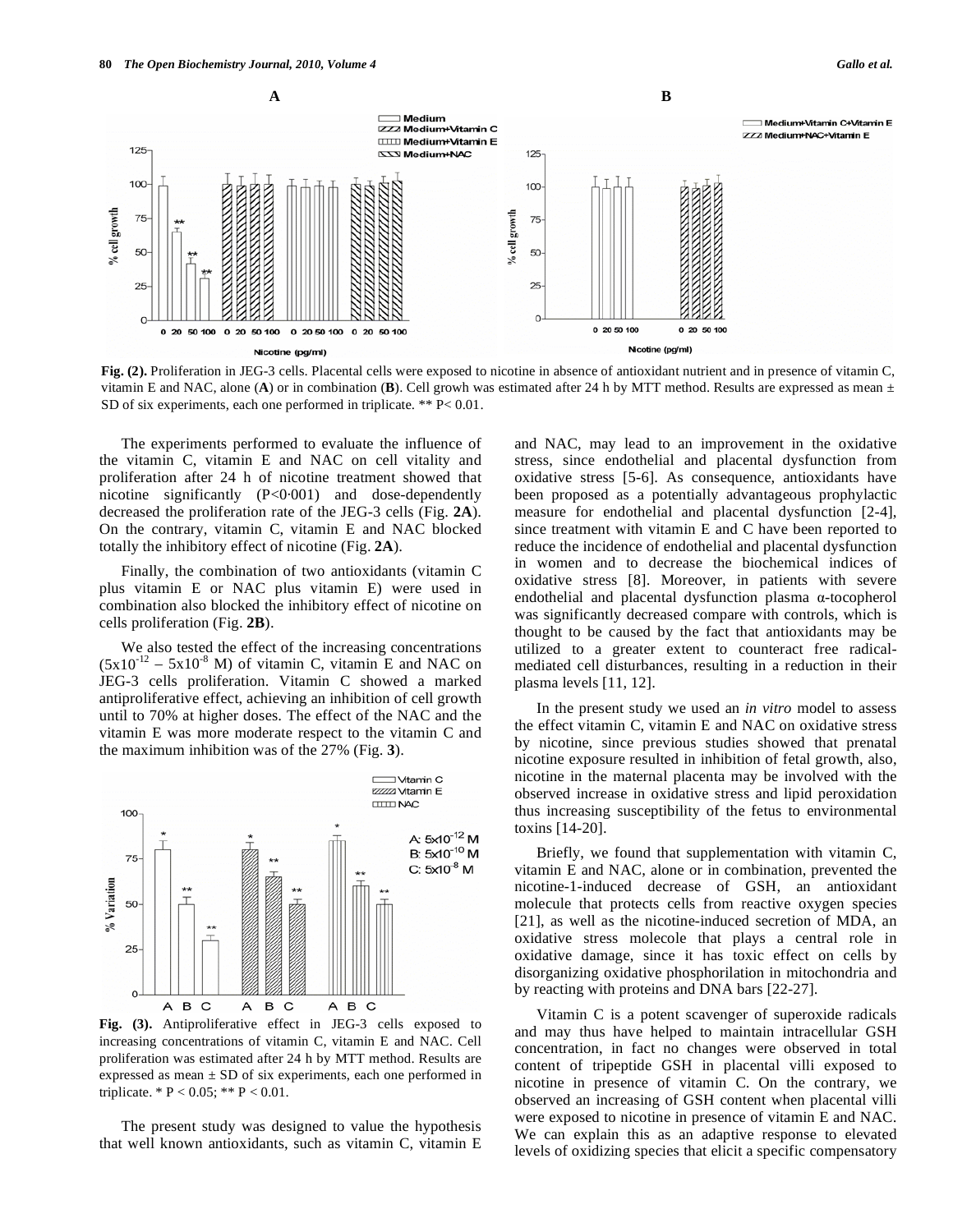

**Fig. (2).** Proliferation in JEG-3 cells. Placental cells were exposed to nicotine in absence of antioxidant nutrient and in presence of vitamin C, vitamin E and NAC, alone (**A**) or in combination (**B**). Cell growh was estimated after 24 h by MTT method. Results are expressed as mean ± SD of six experiments, each one performed in triplicate. \*\* P< 0.01.

 The experiments performed to evaluate the influence of the vitamin C, vitamin E and NAC on cell vitality and proliferation after 24 h of nicotine treatment showed that nicotine significantly (P<0·001) and dose-dependently decreased the proliferation rate of the JEG-3 cells (Fig. **2A**). On the contrary, vitamin C, vitamin E and NAC blocked totally the inhibitory effect of nicotine (Fig. **2A**).

 Finally, the combination of two antioxidants (vitamin C plus vitamin E or NAC plus vitamin E) were used in combination also blocked the inhibitory effect of nicotine on cells proliferation (Fig. **2B**).

 We also tested the effect of the increasing concentrations  $(5x10^{-12} - 5x10^{-8}$  M) of vitamin C, vitamin E and NAC on JEG-3 cells proliferation. Vitamin C showed a marked antiproliferative effect, achieving an inhibition of cell growth until to 70% at higher doses. The effect of the NAC and the vitamin E was more moderate respect to the vitamin C and the maximum inhibition was of the 27% (Fig. **3**).



**Fig. (3).** Antiproliferative effect in JEG-3 cells exposed to increasing concentrations of vitamin C, vitamin E and NAC. Cell proliferation was estimated after 24 h by MTT method. Results are expressed as mean  $\pm$  SD of six experiments, each one performed in triplicate.  $* P < 0.05$ ;  $** P < 0.01$ .

 The present study was designed to value the hypothesis that well known antioxidants, such as vitamin C, vitamin E and NAC, may lead to an improvement in the oxidative stress, since endothelial and placental dysfunction from oxidative stress [5-6]. As consequence, antioxidants have been proposed as a potentially advantageous prophylactic measure for endothelial and placental dysfunction [2-4], since treatment with vitamin E and C have been reported to reduce the incidence of endothelial and placental dysfunction in women and to decrease the biochemical indices of oxidative stress [8]. Moreover, in patients with severe endothelial and placental dysfunction plasma  $\alpha$ -tocopherol was significantly decreased compare with controls, which is thought to be caused by the fact that antioxidants may be utilized to a greater extent to counteract free radicalmediated cell disturbances, resulting in a reduction in their plasma levels [11, 12].

 In the present study we used an *in vitro* model to assess the effect vitamin C, vitamin E and NAC on oxidative stress by nicotine, since previous studies showed that prenatal nicotine exposure resulted in inhibition of fetal growth, also, nicotine in the maternal placenta may be involved with the observed increase in oxidative stress and lipid peroxidation thus increasing susceptibility of the fetus to environmental toxins [14-20].

 Briefly, we found that supplementation with vitamin C, vitamin E and NAC, alone or in combination, prevented the nicotine-1-induced decrease of GSH, an antioxidant molecule that protects cells from reactive oxygen species [21], as well as the nicotine-induced secretion of MDA, an oxidative stress molecole that plays a central role in oxidative damage, since it has toxic effect on cells by disorganizing oxidative phosphorilation in mitochondria and by reacting with proteins and DNA bars [22-27].

 Vitamin C is a potent scavenger of superoxide radicals and may thus have helped to maintain intracellular GSH concentration, in fact no changes were observed in total content of tripeptide GSH in placental villi exposed to nicotine in presence of vitamin C. On the contrary, we observed an increasing of GSH content when placental villi were exposed to nicotine in presence of vitamin E and NAC. We can explain this as an adaptive response to elevated levels of oxidizing species that elicit a specific compensatory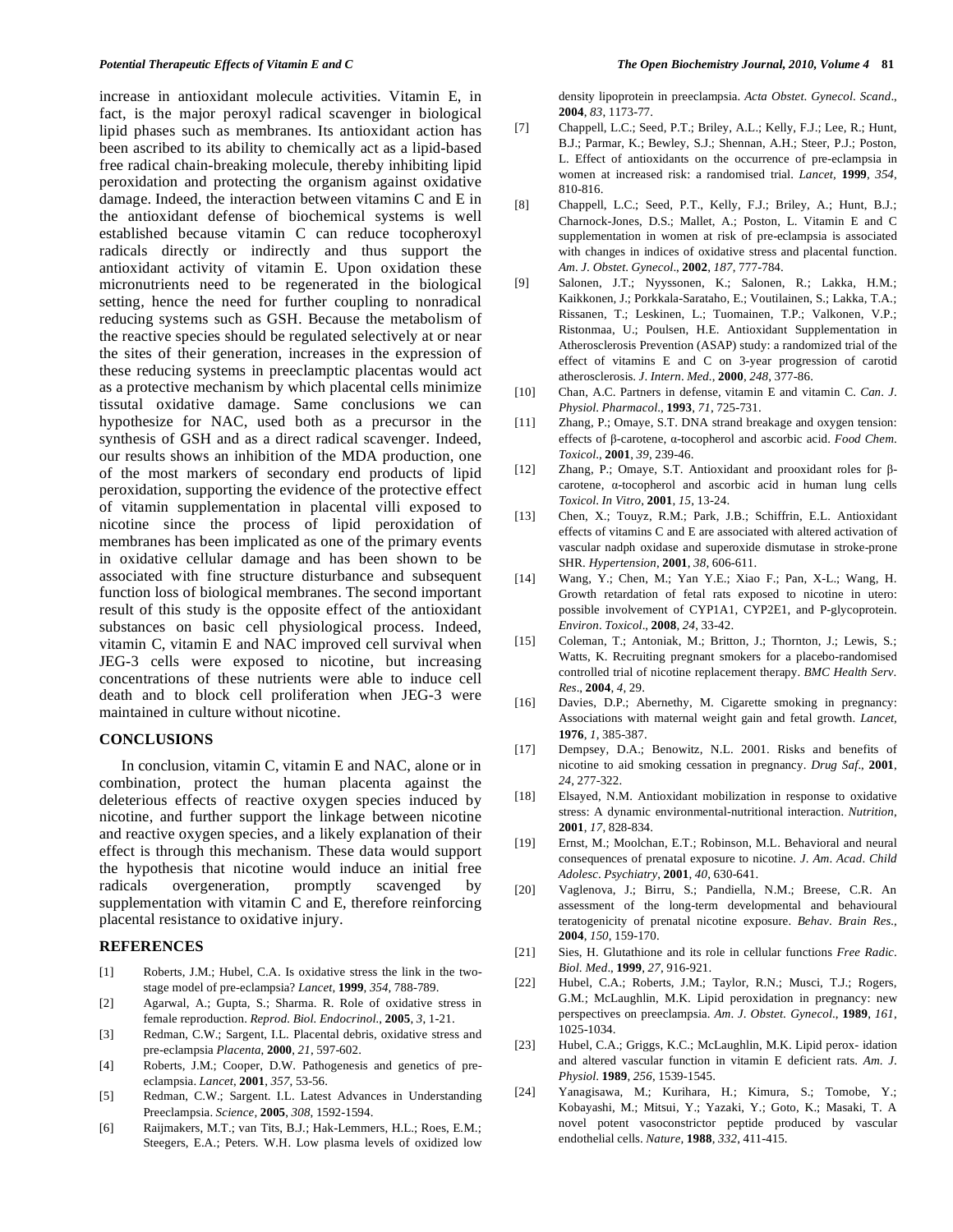increase in antioxidant molecule activities. Vitamin E, in fact, is the major peroxyl radical scavenger in biological lipid phases such as membranes. Its antioxidant action has been ascribed to its ability to chemically act as a lipid-based free radical chain-breaking molecule, thereby inhibiting lipid peroxidation and protecting the organism against oxidative damage. Indeed, the interaction between vitamins C and E in the antioxidant defense of biochemical systems is well established because vitamin C can reduce tocopheroxyl radicals directly or indirectly and thus support the antioxidant activity of vitamin E. Upon oxidation these micronutrients need to be regenerated in the biological setting, hence the need for further coupling to nonradical reducing systems such as GSH. Because the metabolism of the reactive species should be regulated selectively at or near the sites of their generation, increases in the expression of these reducing systems in preeclamptic placentas would act as a protective mechanism by which placental cells minimize tissutal oxidative damage. Same conclusions we can hypothesize for NAC, used both as a precursor in the synthesis of GSH and as a direct radical scavenger. Indeed, our results shows an inhibition of the MDA production, one of the most markers of secondary end products of lipid peroxidation, supporting the evidence of the protective effect of vitamin supplementation in placental villi exposed to nicotine since the process of lipid peroxidation of membranes has been implicated as one of the primary events in oxidative cellular damage and has been shown to be associated with fine structure disturbance and subsequent function loss of biological membranes. The second important result of this study is the opposite effect of the antioxidant substances on basic cell physiological process. Indeed, vitamin C, vitamin E and NAC improved cell survival when JEG-3 cells were exposed to nicotine, but increasing concentrations of these nutrients were able to induce cell death and to block cell proliferation when JEG-3 were maintained in culture without nicotine.

### **CONCLUSIONS**

 In conclusion, vitamin C, vitamin E and NAC, alone or in combination, protect the human placenta against the deleterious effects of reactive oxygen species induced by nicotine, and further support the linkage between nicotine and reactive oxygen species, and a likely explanation of their effect is through this mechanism. These data would support the hypothesis that nicotine would induce an initial free radicals overgeneration, promptly scavenged by supplementation with vitamin C and E, therefore reinforcing placental resistance to oxidative injury.

# **REFERENCES**

- [1] Roberts, J.M.; Hubel, C.A. Is oxidative stress the link in the twostage model of pre-eclampsia? *Lancet*, **1999**, *354*, 788-789.
- [2] Agarwal, A.; Gupta, S.; Sharma. R. Role of oxidative stress in female reproduction. *Reprod. Biol. Endocrinol.*, **2005**, *3*, 1-21.
- [3] Redman, C.W.; Sargent, I.L. Placental debris, oxidative stress and pre-eclampsia *Placenta*, **2000**, *21*, 597-602.
- [4] Roberts, J.M.; Cooper, D.W. Pathogenesis and genetics of preeclampsia. *Lancet*, **2001**, *357*, 53-56.
- [5] Redman, C.W.; Sargent. I.L. Latest Advances in Understanding Preeclampsia. *Science,* **2005**, *308*, 1592-1594.
- [6] Raijmakers, M.T.; van Tits, B.J.; Hak-Lemmers, H.L.; Roes, E.M.; Steegers, E.A.; Peters. W.H. Low plasma levels of oxidized low

density lipoprotein in preeclampsia. *Acta Obstet*. *Gynecol*. *Scand*., **2004**, *83*, 1173-77.

- [7] Chappell, L.C.; Seed, P.T.; Briley, A.L.; Kelly, F.J.; Lee, R.; Hunt, B.J.; Parmar, K.; Bewley, S.J.; Shennan, A.H.; Steer, P.J.; Poston, L. Effect of antioxidants on the occurrence of pre-eclampsia in women at increased risk: a randomised trial. *Lancet,* **1999**, *354*, 810-816.
- [8] Chappell, L.C.; Seed, P.T., Kelly, F.J.; Briley, A.; Hunt, B.J.; Charnock-Jones, D.S.; Mallet, A.; Poston, L. Vitamin E and C supplementation in women at risk of pre-eclampsia is associated with changes in indices of oxidative stress and placental function. *Am*. *J*. *Obstet*. *Gynecol*., **2002**, *187*, 777-784.
- [9] Salonen, J.T.; Nyyssonen, K.; Salonen, R.; Lakka, H.M.; Kaikkonen, J.; Porkkala-Sarataho, E.; Voutilainen, S.; Lakka, T.A.; Rissanen, T.; Leskinen, L.; Tuomainen, T.P.; Valkonen, V.P.; Ristonmaa, U.; Poulsen, H.E. Antioxidant Supplementation in Atherosclerosis Prevention (ASAP) study: a randomized trial of the effect of vitamins E and C on 3-year progression of carotid atherosclerosis. *J*. *Intern*. *Med.*, **2000**, *248*, 377-86.
- [10] Chan, A.C. Partners in defense, vitamin E and vitamin C. *Can*. *J*. *Physiol*. *Pharmacol*., **1993**, *71*, 725-731.
- [11] Zhang, P.; Omaye, S.T. DNA strand breakage and oxygen tension: effects of  $\beta$ -carotene,  $\alpha$ -tocopherol and ascorbic acid. *Food Chem*. *Toxicol*., **2001**, *39*, 239-46.
- [12] Zhang, P.; Omaye, S.T. Antioxidant and prooxidant roles for  $\beta$ carotene,  $\alpha$ -tocopherol and ascorbic acid in human lung cells *Toxicol*. *In Vitro*, **2001**, *15*, 13-24.
- [13] Chen, X.; Touyz, R.M.; Park, J.B.; Schiffrin, E.L. Antioxidant effects of vitamins C and E are associated with altered activation of vascular nadph oxidase and superoxide dismutase in stroke-prone SHR. *Hypertension*, **2001**, *38*, 606-611.
- [14] Wang, Y.; Chen, M.; Yan Y.E.; Xiao F.; Pan, X-L.; Wang, H. Growth retardation of fetal rats exposed to nicotine in utero: possible involvement of CYP1A1, CYP2E1, and P-glycoprotein. *Environ*. *Toxicol*., **2008**, *24*, 33-42.
- [15] Coleman, T.; Antoniak, M.; Britton, J.; Thornton, J.; Lewis, S.; Watts, K. Recruiting pregnant smokers for a placebo-randomised controlled trial of nicotine replacement therapy. *BMC Health Serv*. *Res*., **2004**, *4*, 29.
- [16] Davies, D.P.; Abernethy, M. Cigarette smoking in pregnancy: Associations with maternal weight gain and fetal growth. *Lancet,* **1976**, *1*, 385-387.
- [17] Dempsey, D.A.; Benowitz, N.L. 2001. Risks and benefits of nicotine to aid smoking cessation in pregnancy. *Drug Saf*., **2001**, *24*, 277-322.
- [18] Elsayed, N.M. Antioxidant mobilization in response to oxidative stress: A dynamic environmental-nutritional interaction. *Nutrition*, **2001**, *17*, 828-834.
- [19] Ernst, M.; Moolchan, E.T.; Robinson, M.L. Behavioral and neural consequences of prenatal exposure to nicotine. *J*. *Am*. *Acad*. *Child Adolesc*. *Psychiatry*, **2001**, *40*, 630-641.
- [20] Vaglenova, J.; Birru, S.; Pandiella, N.M.; Breese, C.R. An assessment of the long-term developmental and behavioural teratogenicity of prenatal nicotine exposure. *Behav*. *Brain Res.*, **2004**, *150*, 159-170.
- [21] Sies, H. Glutathione and its role in cellular functions *Free Radic*. *Biol*. *Med*., **1999**, *27*, 916-921.
- [22] Hubel, C.A.; Roberts, J.M.; Taylor, R.N.; Musci, T.J.; Rogers, G.M.; McLaughlin, M.K. Lipid peroxidation in pregnancy: new perspectives on preeclampsia. *Am*. *J*. *Obstet*. *Gynecol*., **1989**, *161*, 1025-1034.
- [23] Hubel, C.A.; Griggs, K.C.; McLaughlin, M.K. Lipid perox- idation and altered vascular function in vitamin E deficient rats. *Am*. *J*. *Physiol*. **1989**, *256*, 1539-1545.
- [24] Yanagisawa, M.; Kurihara, H.; Kimura, S.; Tomobe, Y.; Kobayashi, M.; Mitsui, Y.; Yazaki, Y.; Goto, K.; Masaki, T. A novel potent vasoconstrictor peptide produced by vascular endothelial cells. *Nature,* **1988**, *332*, 411-415.